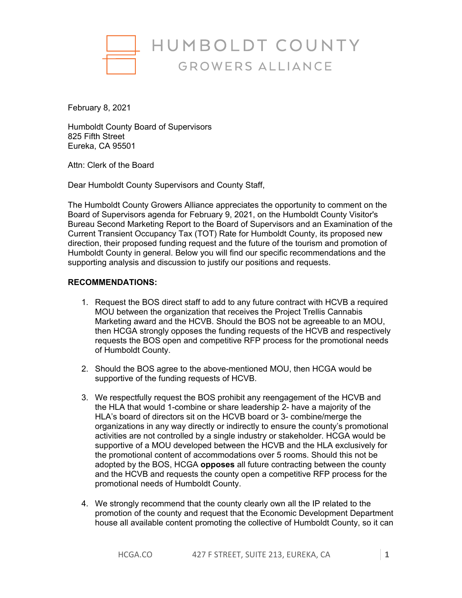

February 8, 2021

Humboldt County Board of Supervisors 825 Fifth Street Eureka, CA 95501

Attn: Clerk of the Board

Dear Humboldt County Supervisors and County Staff,

The Humboldt County Growers Alliance appreciates the opportunity to comment on the Board of Supervisors agenda for February 9, 2021, on the Humboldt County Visitor's Bureau Second Marketing Report to the Board of Supervisors and an Examination of the Current Transient Occupancy Tax (TOT) Rate for Humboldt County, its proposed new direction, their proposed funding request and the future of the tourism and promotion of Humboldt County in general. Below you will find our specific recommendations and the supporting analysis and discussion to justify our positions and requests.

## **RECOMMENDATIONS:**

- 1. Request the BOS direct staff to add to any future contract with HCVB a required MOU between the organization that receives the Project Trellis Cannabis Marketing award and the HCVB. Should the BOS not be agreeable to an MOU, then HCGA strongly opposes the funding requests of the HCVB and respectively requests the BOS open and competitive RFP process for the promotional needs of Humboldt County.
- 2. Should the BOS agree to the above-mentioned MOU, then HCGA would be supportive of the funding requests of HCVB.
- 3. We respectfully request the BOS prohibit any reengagement of the HCVB and the HLA that would 1-combine or share leadership 2- have a majority of the HLA's board of directors sit on the HCVB board or 3- combine/merge the organizations in any way directly or indirectly to ensure the county's promotional activities are not controlled by a single industry or stakeholder. HCGA would be supportive of a MOU developed between the HCVB and the HLA exclusively for the promotional content of accommodations over 5 rooms. Should this not be adopted by the BOS, HCGA **opposes** all future contracting between the county and the HCVB and requests the county open a competitive RFP process for the promotional needs of Humboldt County.
- 4. We strongly recommend that the county clearly own all the IP related to the promotion of the county and request that the Economic Development Department house all available content promoting the collective of Humboldt County, so it can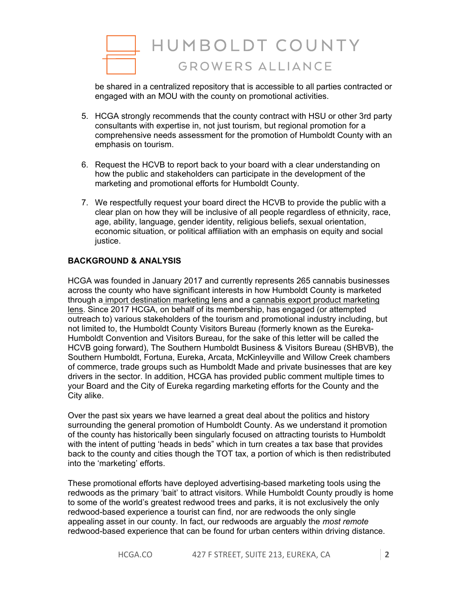

be shared in a centralized repository that is accessible to all parties contracted or engaged with an MOU with the county on promotional activities.

- 5. HCGA strongly recommends that the county contract with HSU or other 3rd party consultants with expertise in, not just tourism, but regional promotion for a comprehensive needs assessment for the promotion of Humboldt County with an emphasis on tourism.
- 6. Request the HCVB to report back to your board with a clear understanding on how the public and stakeholders can participate in the development of the marketing and promotional efforts for Humboldt County.
- 7. We respectfully request your board direct the HCVB to provide the public with a clear plan on how they will be inclusive of all people regardless of ethnicity, race, age, ability, language, gender identity, religious beliefs, sexual orientation, economic situation, or political affiliation with an emphasis on equity and social justice.

## **BACKGROUND & ANALYSIS**

HCGA was founded in January 2017 and currently represents 265 cannabis businesses across the county who have significant interests in how Humboldt County is marketed through a import destination marketing lens and a cannabis export product marketing lens. Since 2017 HCGA, on behalf of its membership, has engaged (or attempted outreach to) various stakeholders of the tourism and promotional industry including, but not limited to, the Humboldt County Visitors Bureau (formerly known as the Eureka-Humboldt Convention and Visitors Bureau, for the sake of this letter will be called the HCVB going forward), The Southern Humboldt Business & Visitors Bureau (SHBVB), the Southern Humboldt, Fortuna, Eureka, Arcata, McKinleyville and Willow Creek chambers of commerce, trade groups such as Humboldt Made and private businesses that are key drivers in the sector. In addition, HCGA has provided public comment multiple times to your Board and the City of Eureka regarding marketing efforts for the County and the City alike.

Over the past six years we have learned a great deal about the politics and history surrounding the general promotion of Humboldt County. As we understand it promotion of the county has historically been singularly focused on attracting tourists to Humboldt with the intent of putting 'heads in beds" which in turn creates a tax base that provides back to the county and cities though the TOT tax, a portion of which is then redistributed into the 'marketing' efforts.

These promotional efforts have deployed advertising-based marketing tools using the redwoods as the primary 'bait' to attract visitors. While Humboldt County proudly is home to some of the world's greatest redwood trees and parks, it is not exclusively the only redwood-based experience a tourist can find, nor are redwoods the only single appealing asset in our county. In fact, our redwoods are arguably the *most remote* redwood-based experience that can be found for urban centers within driving distance.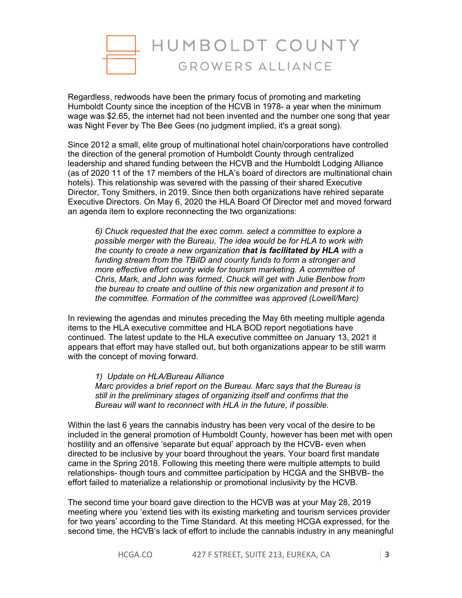

Regardless, redwoods have been the primary focus of promoting and marketing Humboldt County since the inception of the HCVB in 1978- a year when the minimum wage was \$2.65, the internet had not been invented and the number one song that year was Night Fever by The Bee Gees (no judgment implied, it's a great song).

Since 2012 a small, elite group of multinational hotel chain/corporations have controlled the direction of the general promotion of Humboldt County through centralized leadership and shared funding between the HCVB and the Humboldt Lodging Alliance (as of 2020 11 of the 17 members of the HLA's board of directors are multinational chain hotels). This relationship was severed with the passing of their shared Executive Director, Tony Smithers, in 2019. Since then both organizations have rehired separate Executive Directors. On May 6, 2020 the HLA Board Of Director met and moved forward an agenda item to explore reconnecting the two organizations:

*6) Chuck requested that the exec comm. select a committee to explore a possible merger with the Bureau, The idea would be for HLA to work with the county to create a new organization that is facilitated by HLA with a funding stream from the TBiID and county funds to form a stronger and more effective effort county wide for tourism marketing. A committee of Chris, Mark, and John was formed. Chuck will get with Julie Benbow from the bureau to create and outline of this new organization and present it to the committee. Formation of the committee was approved (Lowell/Marc)*

In reviewing the agendas and minutes preceding the May 6th meeting multiple agenda items to the HLA executive committee and HLA BOD report negotiations have continued. The latest update to the HLA executive committee on January 13, 2021 it appears that effort may have stalled out, but both organizations appear to be still warm with the concept of moving forward.

*1) Update on HLA/Bureau Alliance Marc provides a brief report on the Bureau. Marc says that the Bureau is still in the preliminary stages of organizing itself and confirms that the Bureau will want to reconnect with HLA in the future, if possible.*

Within the last 6 years the cannabis industry has been very vocal of the desire to be included in the general promotion of Humboldt County, however has been met with open hostility and an offensive 'separate but equal' approach by the HCVB- even when directed to be inclusive by your board throughout the years. Your board first mandate came in the Spring 2018. Following this meeting there were multiple attempts to build relationships- though tours and committee participation by HCGA and the SHBVB- the effort failed to materialize a relationship or promotional inclusivity by the HCVB.

The second time your board gave direction to the HCVB was at your May 28, 2019 meeting where you 'extend ties with its existing marketing and tourism services provider for two years' according to the Time Standard. At this meeting HCGA expressed, for the second time, the HCVB's lack of effort to include the cannabis industry in any meaningful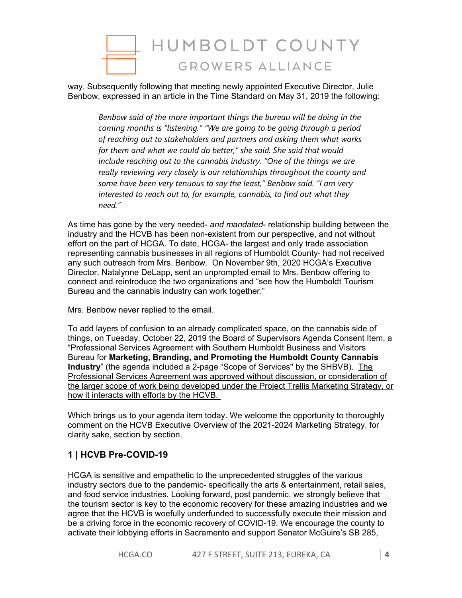

way. Subsequently following that meeting newly appointed Executive Director, Julie Benbow, expressed in an article in the Time Standard on May 31, 2019 the following:

*Benbow said of the more important things the bureau will be doing in the coming months is "listening." "We are going to be going through a period of reaching out to stakeholders and partners and asking them what works for them and what we could do better," she said. She said that would include reaching out to the cannabis industry. "One of the things we are really reviewing very closely is our relationships throughout the county and some have been very tenuous to say the least," Benbow said. "I am very interested to reach out to, for example, cannabis, to find out what they need."*

As time has gone by the very needed- *and mandated*- relationship building between the industry and the HCVB has been non-existent from our perspective, and not without effort on the part of HCGA. To date, HCGA- the largest and only trade association representing cannabis businesses in all regions of Humboldt County- had not received any such outreach from Mrs. Benbow. On November 9th, 2020 HCGA's Executive Director, Natalynne DeLapp, sent an unprompted email to Mrs. Benbow offering to connect and reintroduce the two organizations and "see how the Humboldt Tourism Bureau and the cannabis industry can work together."

Mrs. Benbow never replied to the email.

To add layers of confusion to an already complicated space, on the cannabis side of things, on Tuesday, October 22, 2019 the Board of Supervisors Agenda Consent Item, a "Professional Services Agreement with Southern Humboldt Business and Visitors Bureau for **Marketing, Branding, and Promoting the Humboldt County Cannabis Industry**" (the agenda included a 2-page "Scope of Services'' by the SHBVB). The Professional Services Agreement was approved without discussion, or consideration of the larger scope of work being developed under the Project Trellis Marketing Strategy, or how it interacts with efforts by the HCVB.

Which brings us to your agenda item today. We welcome the opportunity to thoroughly comment on the HCVB Executive Overview of the 2021-2024 Marketing Strategy, for clarity sake, section by section.

# **1 | HCVB Pre-COVID-19**

HCGA is sensitive and empathetic to the unprecedented struggles of the various industry sectors due to the pandemic- specifically the arts & entertainment, retail sales, and food service industries. Looking forward, post pandemic, we strongly believe that the tourism sector is key to the economic recovery for these amazing industries and we agree that the HCVB is woefully underfunded to successfully execute their mission and be a driving force in the economic recovery of COVID-19. We encourage the county to activate their lobbying efforts in Sacramento and support Senator McGuire's SB 285,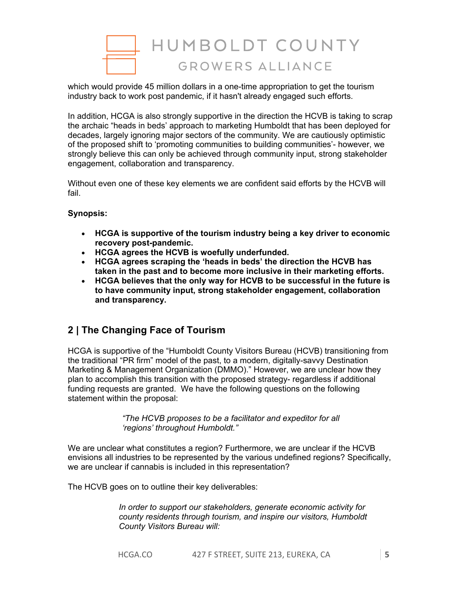

which would provide 45 million dollars in a one-time appropriation to get the tourism industry back to work post pandemic, if it hasn't already engaged such efforts.

In addition, HCGA is also strongly supportive in the direction the HCVB is taking to scrap the archaic "heads in beds' approach to marketing Humboldt that has been deployed for decades, largely ignoring major sectors of the community. We are cautiously optimistic of the proposed shift to 'promoting communities to building communities'- however, we strongly believe this can only be achieved through community input, strong stakeholder engagement, collaboration and transparency.

Without even one of these key elements we are confident said efforts by the HCVB will fail.

# **Synopsis:**

- **HCGA is supportive of the tourism industry being a key driver to economic recovery post-pandemic.**
- **HCGA agrees the HCVB is woefully underfunded.**
- **HCGA agrees scraping the 'heads in beds' the direction the HCVB has taken in the past and to become more inclusive in their marketing efforts.**
- **HCGA believes that the only way for HCVB to be successful in the future is to have community input, strong stakeholder engagement, collaboration and transparency.**

# **2 | The Changing Face of Tourism**

HCGA is supportive of the "Humboldt County Visitors Bureau (HCVB) transitioning from the traditional "PR firm" model of the past, to a modern, digitally-savvy Destination Marketing & Management Organization (DMMO)." However, we are unclear how they plan to accomplish this transition with the proposed strategy- regardless if additional funding requests are granted. We have the following questions on the following statement within the proposal:

> *"The HCVB proposes to be a facilitator and expeditor for all 'regions' throughout Humboldt."*

We are unclear what constitutes a region? Furthermore, we are unclear if the HCVB envisions all industries to be represented by the various undefined regions? Specifically, we are unclear if cannabis is included in this representation?

The HCVB goes on to outline their key deliverables:

*In order to support our stakeholders, generate economic activity for county residents through tourism, and inspire our visitors, Humboldt County Visitors Bureau will:*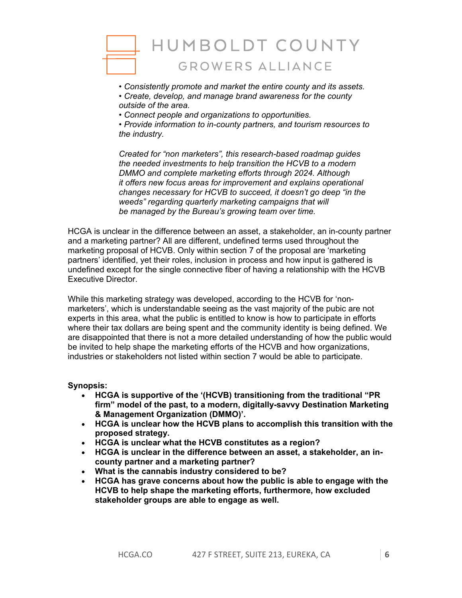

*• Consistently promote and market the entire county and its assets.* 

*• Create, develop, and manage brand awareness for the county outside of the area.*

*• Connect people and organizations to opportunities.* 

*• Provide information to in-county partners, and tourism resources to the industry.* 

*Created for "non marketers", this research-based roadmap guides the needed investments to help transition the HCVB to a modern DMMO and complete marketing efforts through 2024. Although it offers new focus areas for improvement and explains operational changes necessary for HCVB to succeed, it doesn't go deep "in the weeds" regarding quarterly marketing campaigns that will be managed by the Bureau's growing team over time.*

HCGA is unclear in the difference between an asset, a stakeholder, an in-county partner and a marketing partner? All are different, undefined terms used throughout the marketing proposal of HCVB. Only within section 7 of the proposal are 'marketing partners' identified, yet their roles, inclusion in process and how input is gathered is undefined except for the single connective fiber of having a relationship with the HCVB Executive Director.

While this marketing strategy was developed, according to the HCVB for 'nonmarketers', which is understandable seeing as the vast majority of the pubic are not experts in this area, what the public is entitled to know is how to participate in efforts where their tax dollars are being spent and the community identity is being defined. We are disappointed that there is not a more detailed understanding of how the public would be invited to help shape the marketing efforts of the HCVB and how organizations, industries or stakeholders not listed within section 7 would be able to participate.

## **Synopsis:**

- **HCGA is supportive of the '(HCVB) transitioning from the traditional "PR firm" model of the past, to a modern, digitally-savvy Destination Marketing & Management Organization (DMMO)'.**
- **HCGA is unclear how the HCVB plans to accomplish this transition with the proposed strategy.**
- **HCGA is unclear what the HCVB constitutes as a region?**
- **HCGA is unclear in the difference between an asset, a stakeholder, an incounty partner and a marketing partner?**
- **What is the cannabis industry considered to be?**
- **HCGA has grave concerns about how the public is able to engage with the HCVB to help shape the marketing efforts, furthermore, how excluded stakeholder groups are able to engage as well.**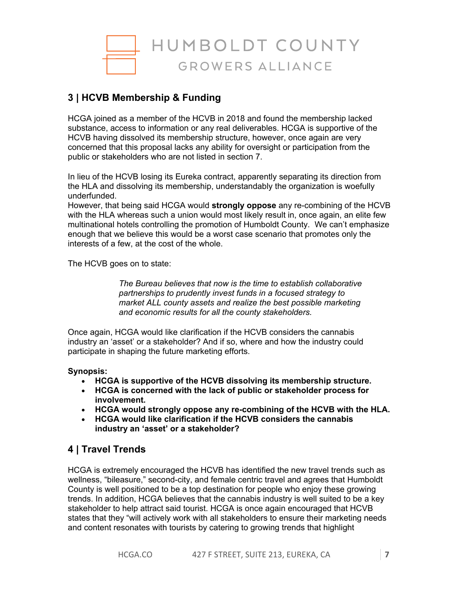

# **3 | HCVB Membership & Funding**

HCGA joined as a member of the HCVB in 2018 and found the membership lacked substance, access to information or any real deliverables. HCGA is supportive of the HCVB having dissolved its membership structure, however, once again are very concerned that this proposal lacks any ability for oversight or participation from the public or stakeholders who are not listed in section 7.

In lieu of the HCVB losing its Eureka contract, apparently separating its direction from the HLA and dissolving its membership, understandably the organization is woefully underfunded.

However, that being said HCGA would **strongly oppose** any re-combining of the HCVB with the HLA whereas such a union would most likely result in, once again, an elite few multinational hotels controlling the promotion of Humboldt County. We can't emphasize enough that we believe this would be a worst case scenario that promotes only the interests of a few, at the cost of the whole.

The HCVB goes on to state:

*The Bureau believes that now is the time to establish collaborative partnerships to prudently invest funds in a focused strategy to market ALL county assets and realize the best possible marketing and economic results for all the county stakeholders.* 

Once again, HCGA would like clarification if the HCVB considers the cannabis industry an 'asset' or a stakeholder? And if so, where and how the industry could participate in shaping the future marketing efforts.

## **Synopsis:**

- **HCGA is supportive of the HCVB dissolving its membership structure.**
- **HCGA is concerned with the lack of public or stakeholder process for involvement.**
- **HCGA would strongly oppose any re-combining of the HCVB with the HLA.**
- **HCGA would like clarification if the HCVB considers the cannabis industry an 'asset' or a stakeholder?**

# **4 | Travel Trends**

HCGA is extremely encouraged the HCVB has identified the new travel trends such as wellness, "bileasure," second-city, and female centric travel and agrees that Humboldt County is well positioned to be a top destination for people who enjoy these growing trends. In addition, HCGA believes that the cannabis industry is well suited to be a key stakeholder to help attract said tourist. HCGA is once again encouraged that HCVB states that they "will actively work with all stakeholders to ensure their marketing needs and content resonates with tourists by catering to growing trends that highlight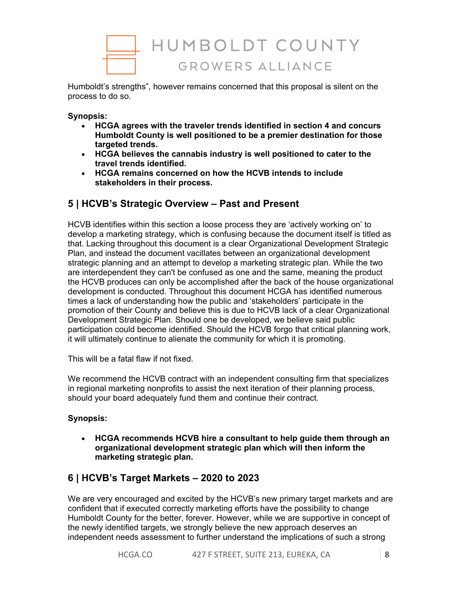

Humboldt's strengths", however remains concerned that this proposal is silent on the process to do so.

### **Synopsis:**

- **HCGA agrees with the traveler trends identified in section 4 and concurs Humboldt County is well positioned to be a premier destination for those targeted trends.**
- **HCGA believes the cannabis industry is well positioned to cater to the travel trends identified.**
- **HCGA remains concerned on how the HCVB intends to include stakeholders in their process.**

# **5 | HCVB's Strategic Overview – Past and Present**

HCVB identifies within this section a loose process they are 'actively working on' to develop a marketing strategy, which is confusing because the document itself is titled as that. Lacking throughout this document is a clear Organizational Development Strategic Plan, and instead the document vacillates between an organizational development strategic planning and an attempt to develop a marketing strategic plan. While the two are interdependent they can't be confused as one and the same, meaning the product the HCVB produces can only be accomplished after the back of the house organizational development is conducted. Throughout this document HCGA has identified numerous times a lack of understanding how the public and 'stakeholders' participate in the promotion of their County and believe this is due to HCVB lack of a clear Organizational Development Strategic Plan. Should one be developed, we believe said public participation could become identified. Should the HCVB forgo that critical planning work, it will ultimately continue to alienate the community for which it is promoting.

This will be a fatal flaw if not fixed.

We recommend the HCVB contract with an independent consulting firm that specializes in regional marketing nonprofits to assist the next iteration of their planning process, should your board adequately fund them and continue their contract.

## **Synopsis:**

• **HCGA recommends HCVB hire a consultant to help guide them through an organizational development strategic plan which will then inform the marketing strategic plan.** 

# **6 | HCVB's Target Markets – 2020 to 2023**

We are very encouraged and excited by the HCVB's new primary target markets and are confident that if executed correctly marketing efforts have the possibility to change Humboldt County for the better, forever. However, while we are supportive in concept of the newly identified targets, we strongly believe the new approach deserves an independent needs assessment to further understand the implications of such a strong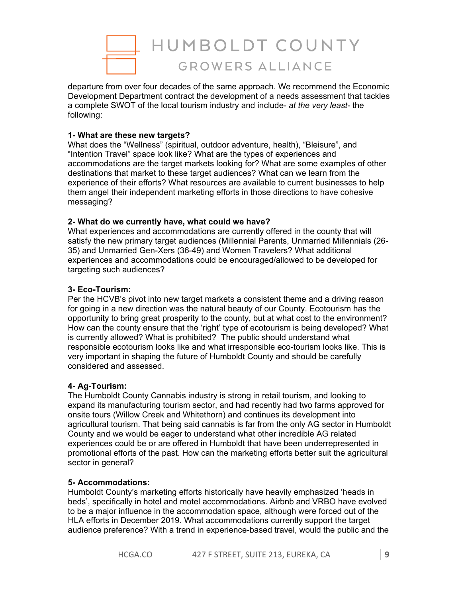

departure from over four decades of the same approach. We recommend the Economic Development Department contract the development of a needs assessment that tackles a complete SWOT of the local tourism industry and include- *at the very least-* the following:

## **1- What are these new targets?**

What does the "Wellness" (spiritual, outdoor adventure, health), "Bleisure", and "Intention Travel" space look like? What are the types of experiences and accommodations are the target markets looking for? What are some examples of other destinations that market to these target audiences? What can we learn from the experience of their efforts? What resources are available to current businesses to help them angel their independent marketing efforts in those directions to have cohesive messaging?

#### **2- What do we currently have, what could we have?**

What experiences and accommodations are currently offered in the county that will satisfy the new primary target audiences (Millennial Parents, Unmarried Millennials (26- 35) and Unmarried Gen-Xers (36-49) and Women Travelers? What additional experiences and accommodations could be encouraged/allowed to be developed for targeting such audiences?

#### **3- Eco-Tourism:**

Per the HCVB's pivot into new target markets a consistent theme and a driving reason for going in a new direction was the natural beauty of our County. Ecotourism has the opportunity to bring great prosperity to the county, but at what cost to the environment? How can the county ensure that the 'right' type of ecotourism is being developed? What is currently allowed? What is prohibited? The public should understand what responsible ecotourism looks like and what irresponsible eco-tourism looks like. This is very important in shaping the future of Humboldt County and should be carefully considered and assessed.

## **4- Ag-Tourism:**

The Humboldt County Cannabis industry is strong in retail tourism, and looking to expand its manufacturing tourism sector, and had recently had two farms approved for onsite tours (Willow Creek and Whitethorn) and continues its development into agricultural tourism. That being said cannabis is far from the only AG sector in Humboldt County and we would be eager to understand what other incredible AG related experiences could be or are offered in Humboldt that have been underrepresented in promotional efforts of the past. How can the marketing efforts better suit the agricultural sector in general?

#### **5- Accommodations:**

Humboldt County's marketing efforts historically have heavily emphasized 'heads in beds', specifically in hotel and motel accommodations. Airbnb and VRBO have evolved to be a major influence in the accommodation space, although were forced out of the HLA efforts in December 2019. What accommodations currently support the target audience preference? With a trend in experience-based travel, would the public and the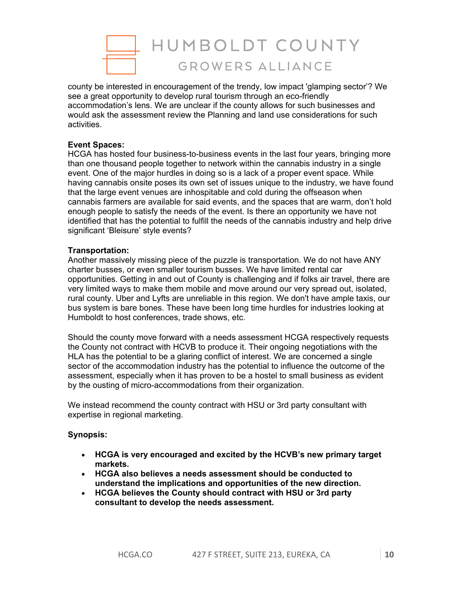

county be interested in encouragement of the trendy, low impact 'glamping sector'? We see a great opportunity to develop rural tourism through an eco-friendly accommodation's lens. We are unclear if the county allows for such businesses and would ask the assessment review the Planning and land use considerations for such activities.

#### **Event Spaces:**

HCGA has hosted four business-to-business events in the last four years, bringing more than one thousand people together to network within the cannabis industry in a single event. One of the major hurdles in doing so is a lack of a proper event space. While having cannabis onsite poses its own set of issues unique to the industry, we have found that the large event venues are inhospitable and cold during the offseason when cannabis farmers are available for said events, and the spaces that are warm, don't hold enough people to satisfy the needs of the event. Is there an opportunity we have not identified that has the potential to fulfill the needs of the cannabis industry and help drive significant 'Bleisure' style events?

#### **Transportation:**

Another massively missing piece of the puzzle is transportation. We do not have ANY charter busses, or even smaller tourism busses. We have limited rental car opportunities. Getting in and out of County is challenging and if folks air travel, there are very limited ways to make them mobile and move around our very spread out, isolated, rural county. Uber and Lyfts are unreliable in this region. We don't have ample taxis, our bus system is bare bones. These have been long time hurdles for industries looking at Humboldt to host conferences, trade shows, etc.

Should the county move forward with a needs assessment HCGA respectively requests the County not contract with HCVB to produce it. Their ongoing negotiations with the HLA has the potential to be a glaring conflict of interest. We are concerned a single sector of the accommodation industry has the potential to influence the outcome of the assessment, especially when it has proven to be a hostel to small business as evident by the ousting of micro-accommodations from their organization.

We instead recommend the county contract with HSU or 3rd party consultant with expertise in regional marketing.

#### **Synopsis:**

- **HCGA is very encouraged and excited by the HCVB's new primary target markets.**
- **HCGA also believes a needs assessment should be conducted to understand the implications and opportunities of the new direction.**
- **HCGA believes the County should contract with HSU or 3rd party consultant to develop the needs assessment.**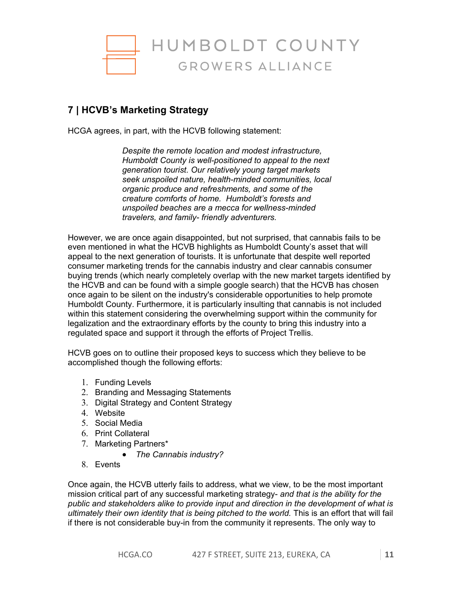

# **7 | HCVB's Marketing Strategy**

HCGA agrees, in part, with the HCVB following statement:

*Despite the remote location and modest infrastructure, Humboldt County is well-positioned to appeal to the next generation tourist. Our relatively young target markets seek unspoiled nature, health-minded communities, local organic produce and refreshments, and some of the creature comforts of home. Humboldt's forests and unspoiled beaches are a mecca for wellness-minded travelers, and family- friendly adventurers.*

However, we are once again disappointed, but not surprised, that cannabis fails to be even mentioned in what the HCVB highlights as Humboldt County's asset that will appeal to the next generation of tourists. It is unfortunate that despite well reported consumer marketing trends for the cannabis industry and clear cannabis consumer buying trends (which nearly completely overlap with the new market targets identified by the HCVB and can be found with a simple google search) that the HCVB has chosen once again to be silent on the industry's considerable opportunities to help promote Humboldt County. Furthermore, it is particularly insulting that cannabis is not included within this statement considering the overwhelming support within the community for legalization and the extraordinary efforts by the county to bring this industry into a regulated space and support it through the efforts of Project Trellis.

HCVB goes on to outline their proposed keys to success which they believe to be accomplished though the following efforts:

- 1. Funding Levels
- 2. Branding and Messaging Statements
- 3. Digital Strategy and Content Strategy
- 4. Website
- 5. Social Media
- 6. Print Collateral
- 7. Marketing Partners\*
	- *The Cannabis industry?*
- 8. Events

Once again, the HCVB utterly fails to address, what we view, to be the most important mission critical part of any successful marketing strategy- *and that is the ability for the public and stakeholders alike to provide input and direction in the development of what is ultimately their own identity that is being pitched to the world.* This is an effort that will fail if there is not considerable buy-in from the community it represents. The only way to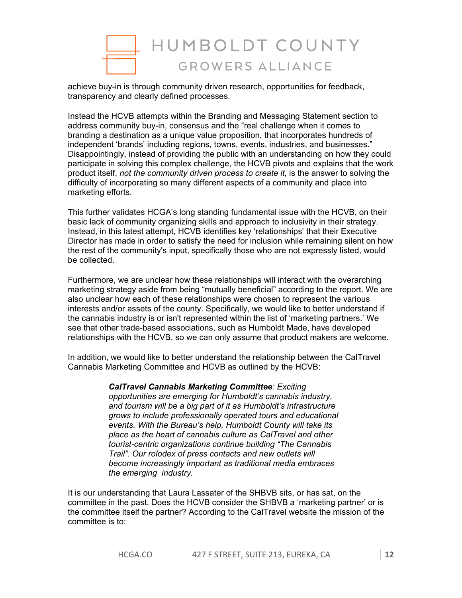

achieve buy-in is through community driven research, opportunities for feedback, transparency and clearly defined processes.

Instead the HCVB attempts within the Branding and Messaging Statement section to address community buy-in, consensus and the "real challenge when it comes to branding a destination as a unique value proposition, that incorporates hundreds of independent 'brands' including regions, towns, events, industries, and businesses." Disappointingly, instead of providing the public with an understanding on how they could participate in solving this complex challenge, the HCVB pivots and explains that the work product itself, *not the community driven process to create it,* is the answer to solving the difficulty of incorporating so many different aspects of a community and place into marketing efforts.

This further validates HCGA's long standing fundamental issue with the HCVB, on their basic lack of community organizing skills and approach to inclusivity in their strategy. Instead, in this latest attempt, HCVB identifies key 'relationships' that their Executive Director has made in order to satisfy the need for inclusion while remaining silent on how the rest of the community's input, specifically those who are not expressly listed, would be collected.

Furthermore, we are unclear how these relationships will interact with the overarching marketing strategy aside from being "mutually beneficial" according to the report. We are also unclear how each of these relationships were chosen to represent the various interests and/or assets of the county. Specifically, we would like to better understand if the cannabis industry is or isn't represented within the list of 'marketing partners.' We see that other trade-based associations, such as Humboldt Made, have developed relationships with the HCVB, so we can only assume that product makers are welcome.

In addition, we would like to better understand the relationship between the CalTravel Cannabis Marketing Committee and HCVB as outlined by the HCVB:

> *CalTravel Cannabis Marketing Committee: Exciting opportunities are emerging for Humboldt's cannabis industry, and tourism will be a big part of it as Humboldt's infrastructure grows to include professionally operated tours and educational events. With the Bureau's help, Humboldt County will take its place as the heart of cannabis culture as CalTravel and other tourist-centric organizations continue building "The Cannabis Trail". Our rolodex of press contacts and new outlets will become increasingly important as traditional media embraces the emerging industry.*

It is our understanding that Laura Lassater of the SHBVB sits, or has sat, on the committee in the past. Does the HCVB consider the SHBVB a 'marketing partner' or is the committee itself the partner? According to the CalTravel website the mission of the committee is to: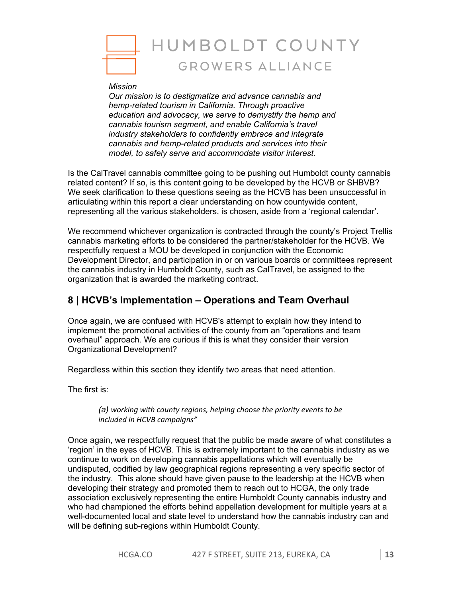

#### *Mission*

*Our mission is to destigmatize and advance cannabis and hemp-related tourism in California. Through proactive education and advocacy, we serve to demystify the hemp and cannabis tourism segment, and enable California's travel industry stakeholders to confidently embrace and integrate cannabis and hemp-related products and services into their model, to safely serve and accommodate visitor interest.*

Is the CalTravel cannabis committee going to be pushing out Humboldt county cannabis related content? If so, is this content going to be developed by the HCVB or SHBVB? We seek clarification to these questions seeing as the HCVB has been unsuccessful in articulating within this report a clear understanding on how countywide content, representing all the various stakeholders, is chosen, aside from a 'regional calendar'.

We recommend whichever organization is contracted through the county's Project Trellis cannabis marketing efforts to be considered the partner/stakeholder for the HCVB. We respectfully request a MOU be developed in conjunction with the Economic Development Director, and participation in or on various boards or committees represent the cannabis industry in Humboldt County, such as CalTravel, be assigned to the organization that is awarded the marketing contract.

# **8 | HCVB's Implementation – Operations and Team Overhaul**

Once again, we are confused with HCVB's attempt to explain how they intend to implement the promotional activities of the county from an "operations and team overhaul" approach. We are curious if this is what they consider their version Organizational Development?

Regardless within this section they identify two areas that need attention.

The first is:

*(a) working with county regions, helping choose the priority events to be included in HCVB campaigns"*

Once again, we respectfully request that the public be made aware of what constitutes a 'region' in the eyes of HCVB. This is extremely important to the cannabis industry as we continue to work on developing cannabis appellations which will eventually be undisputed, codified by law geographical regions representing a very specific sector of the industry. This alone should have given pause to the leadership at the HCVB when developing their strategy and promoted them to reach out to HCGA, the only trade association exclusively representing the entire Humboldt County cannabis industry and who had championed the efforts behind appellation development for multiple years at a well-documented local and state level to understand how the cannabis industry can and will be defining sub-regions within Humboldt County.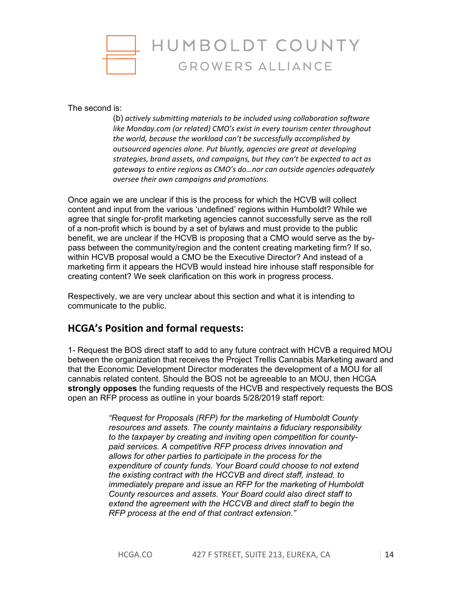

The second is:

(b) *actively submitting materials to be included using collaboration software like Monday.com (or related) CMO's exist in every tourism center throughout the world, because the workload can't be successfully accomplished by outsourced agencies alone. Put bluntly, agencies are great at developing strategies, brand assets, and campaigns, but they can't be expected to act as gateways to entire regions as CMO's do…nor can outside agencies adequately oversee their own campaigns and promotions.*

Once again we are unclear if this is the process for which the HCVB will collect content and input from the various 'undefined' regions within Humboldt? While we agree that single for-profit marketing agencies cannot successfully serve as the roll of a non-profit which is bound by a set of bylaws and must provide to the public benefit, we are unclear if the HCVB is proposing that a CMO would serve as the bypass between the community/region and the content creating marketing firm? If so, within HCVB proposal would a CMO be the Executive Director? And instead of a marketing firm it appears the HCVB would instead hire inhouse staff responsible for creating content? We seek clarification on this work in progress process.

Respectively, we are very unclear about this section and what it is intending to communicate to the public.

# **HCGA's Position and formal requests:**

1- Request the BOS direct staff to add to any future contract with HCVB a required MOU between the organization that receives the Project Trellis Cannabis Marketing award and that the Economic Development Director moderates the development of a MOU for all cannabis related content. Should the BOS not be agreeable to an MOU, then HCGA **strongly opposes** the funding requests of the HCVB and respectively requests the BOS open an RFP process as outline in your boards 5/28/2019 staff report:

> *"Request for Proposals (RFP) for the marketing of Humboldt County resources and assets. The county maintains a fiduciary responsibility to the taxpayer by creating and inviting open competition for countypaid services. A competitive RFP process drives innovation and allows for other parties to participate in the process for the expenditure of county funds. Your Board could choose to not extend the existing contract with the HCCVB and direct staff, instead, to immediately prepare and issue an RFP for the marketing of Humboldt County resources and assets. Your Board could also direct staff to extend the agreement with the HCCVB and direct staff to begin the RFP process at the end of that contract extension."*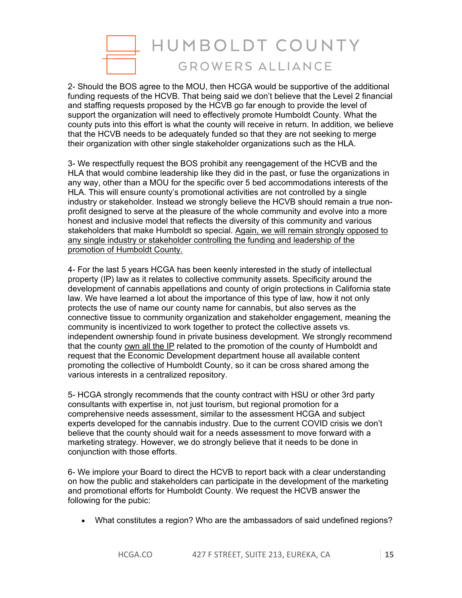

2- Should the BOS agree to the MOU, then HCGA would be supportive of the additional funding requests of the HCVB. That being said we don't believe that the Level 2 financial and staffing requests proposed by the HCVB go far enough to provide the level of support the organization will need to effectively promote Humboldt County. What the county puts into this effort is what the county will receive in return. In addition, we believe that the HCVB needs to be adequately funded so that they are not seeking to merge their organization with other single stakeholder organizations such as the HLA.

3- We respectfully request the BOS prohibit any reengagement of the HCVB and the HLA that would combine leadership like they did in the past, or fuse the organizations in any way, other than a MOU for the specific over 5 bed accommodations interests of the HLA. This will ensure county's promotional activities are not controlled by a single industry or stakeholder. Instead we strongly believe the HCVB should remain a true nonprofit designed to serve at the pleasure of the whole community and evolve into a more honest and inclusive model that reflects the diversity of this community and various stakeholders that make Humboldt so special. Again, we will remain strongly opposed to any single industry or stakeholder controlling the funding and leadership of the promotion of Humboldt County.

4- For the last 5 years HCGA has been keenly interested in the study of intellectual property (IP) law as it relates to collective community assets. Specificity around the development of cannabis appellations and county of origin protections in California state law. We have learned a lot about the importance of this type of law, how it not only protects the use of name our county name for cannabis, but also serves as the connective tissue to community organization and stakeholder engagement, meaning the community is incentivized to work together to protect the collective assets vs. independent ownership found in private business development. We strongly recommend that the county own all the IP related to the promotion of the county of Humboldt and request that the Economic Development department house all available content promoting the collective of Humboldt County, so it can be cross shared among the various interests in a centralized repository.

5- HCGA strongly recommends that the county contract with HSU or other 3rd party consultants with expertise in, not just tourism, but regional promotion for a comprehensive needs assessment, similar to the assessment HCGA and subject experts developed for the cannabis industry. Due to the current COVID crisis we don't believe that the county should wait for a needs assessment to move forward with a marketing strategy. However, we do strongly believe that it needs to be done in conjunction with those efforts.

6- We implore your Board to direct the HCVB to report back with a clear understanding on how the public and stakeholders can participate in the development of the marketing and promotional efforts for Humboldt County. We request the HCVB answer the following for the pubic:

• What constitutes a region? Who are the ambassadors of said undefined regions?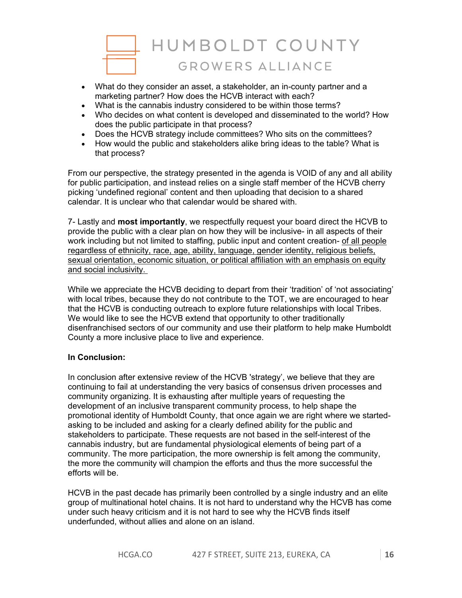

- What do they consider an asset, a stakeholder, an in-county partner and a marketing partner? How does the HCVB interact with each?
- What is the cannabis industry considered to be within those terms?
- Who decides on what content is developed and disseminated to the world? How does the public participate in that process?
- Does the HCVB strategy include committees? Who sits on the committees?
- How would the public and stakeholders alike bring ideas to the table? What is that process?

From our perspective, the strategy presented in the agenda is VOID of any and all ability for public participation, and instead relies on a single staff member of the HCVB cherry picking 'undefined regional' content and then uploading that decision to a shared calendar. It is unclear who that calendar would be shared with.

7- Lastly and **most importantly**, we respectfully request your board direct the HCVB to provide the public with a clear plan on how they will be inclusive- in all aspects of their work including but not limited to staffing, public input and content creation- of all people regardless of ethnicity, race, age, ability, language, gender identity, religious beliefs, sexual orientation, economic situation, or political affiliation with an emphasis on equity and social inclusivity.

While we appreciate the HCVB deciding to depart from their 'tradition' of 'not associating' with local tribes, because they do not contribute to the TOT, we are encouraged to hear that the HCVB is conducting outreach to explore future relationships with local Tribes. We would like to see the HCVB extend that opportunity to other traditionally disenfranchised sectors of our community and use their platform to help make Humboldt County a more inclusive place to live and experience.

## **In Conclusion:**

In conclusion after extensive review of the HCVB 'strategy', we believe that they are continuing to fail at understanding the very basics of consensus driven processes and community organizing. It is exhausting after multiple years of requesting the development of an inclusive transparent community process, to help shape the promotional identity of Humboldt County, that once again we are right where we startedasking to be included and asking for a clearly defined ability for the public and stakeholders to participate. These requests are not based in the self-interest of the cannabis industry, but are fundamental physiological elements of being part of a community. The more participation, the more ownership is felt among the community, the more the community will champion the efforts and thus the more successful the efforts will be.

HCVB in the past decade has primarily been controlled by a single industry and an elite group of multinational hotel chains. It is not hard to understand why the HCVB has come under such heavy criticism and it is not hard to see why the HCVB finds itself underfunded, without allies and alone on an island.